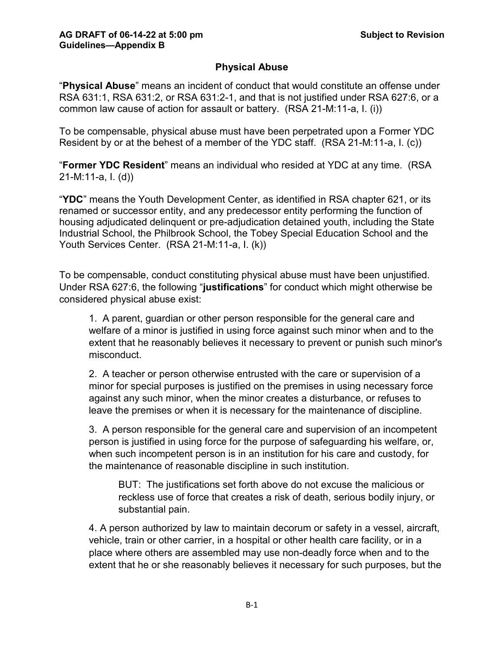# **Physical Abuse**

"**Physical Abuse**" means an incident of conduct that would constitute an offense under RSA 631:1, RSA 631:2, or RSA 631:2-1, and that is not justified under RSA 627:6, or a common law cause of action for assault or battery. (RSA 21-M:11-a, I. (i))

To be compensable, physical abuse must have been perpetrated upon a Former YDC Resident by or at the behest of a member of the YDC staff. (RSA 21-M:11-a, I. (c))

"**Former YDC Resident**" means an individual who resided at YDC at any time. (RSA 21-M:11-a, I. (d))

"**YDC**" means the Youth Development Center, as identified in RSA chapter 621, or its renamed or successor entity, and any predecessor entity performing the function of housing adjudicated delinquent or pre-adjudication detained youth, including the State Industrial School, the Philbrook School, the Tobey Special Education School and the Youth Services Center. (RSA 21-M:11-a, I. (k))

To be compensable, conduct constituting physical abuse must have been unjustified. Under RSA 627:6, the following "**justifications**" for conduct which might otherwise be considered physical abuse exist:

1. A parent, guardian or other person responsible for the general care and welfare of a minor is justified in using force against such minor when and to the extent that he reasonably believes it necessary to prevent or punish such minor's misconduct.

2. A teacher or person otherwise entrusted with the care or supervision of a minor for special purposes is justified on the premises in using necessary force against any such minor, when the minor creates a disturbance, or refuses to leave the premises or when it is necessary for the maintenance of discipline.

3. A person responsible for the general care and supervision of an incompetent person is justified in using force for the purpose of safeguarding his welfare, or, when such incompetent person is in an institution for his care and custody, for the maintenance of reasonable discipline in such institution.

BUT: The justifications set forth above do not excuse the malicious or reckless use of force that creates a risk of death, serious bodily injury, or substantial pain.

4. A person authorized by law to maintain decorum or safety in a vessel, aircraft, vehicle, train or other carrier, in a hospital or other health care facility, or in a place where others are assembled may use non-deadly force when and to the extent that he or she reasonably believes it necessary for such purposes, but the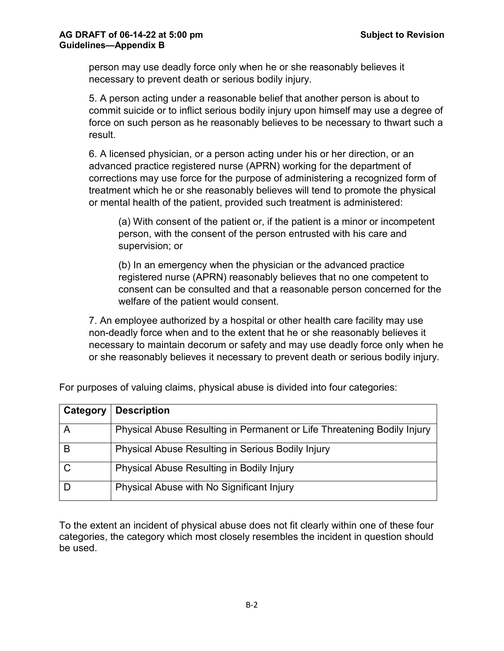person may use deadly force only when he or she reasonably believes it necessary to prevent death or serious bodily injury.

5. A person acting under a reasonable belief that another person is about to commit suicide or to inflict serious bodily injury upon himself may use a degree of force on such person as he reasonably believes to be necessary to thwart such a result.

6. A licensed physician, or a person acting under his or her direction, or an advanced practice registered nurse (APRN) working for the department of corrections may use force for the purpose of administering a recognized form of treatment which he or she reasonably believes will tend to promote the physical or mental health of the patient, provided such treatment is administered:

(a) With consent of the patient or, if the patient is a minor or incompetent person, with the consent of the person entrusted with his care and supervision; or

(b) In an emergency when the physician or the advanced practice registered nurse (APRN) reasonably believes that no one competent to consent can be consulted and that a reasonable person concerned for the welfare of the patient would consent.

7. An employee authorized by a hospital or other health care facility may use non-deadly force when and to the extent that he or she reasonably believes it necessary to maintain decorum or safety and may use deadly force only when he or she reasonably believes it necessary to prevent death or serious bodily injury.

| Category | <b>Description</b>                                                      |
|----------|-------------------------------------------------------------------------|
|          | Physical Abuse Resulting in Permanent or Life Threatening Bodily Injury |
| B        | Physical Abuse Resulting in Serious Bodily Injury                       |
|          | Physical Abuse Resulting in Bodily Injury                               |
|          | Physical Abuse with No Significant Injury                               |

For purposes of valuing claims, physical abuse is divided into four categories:

To the extent an incident of physical abuse does not fit clearly within one of these four categories, the category which most closely resembles the incident in question should be used.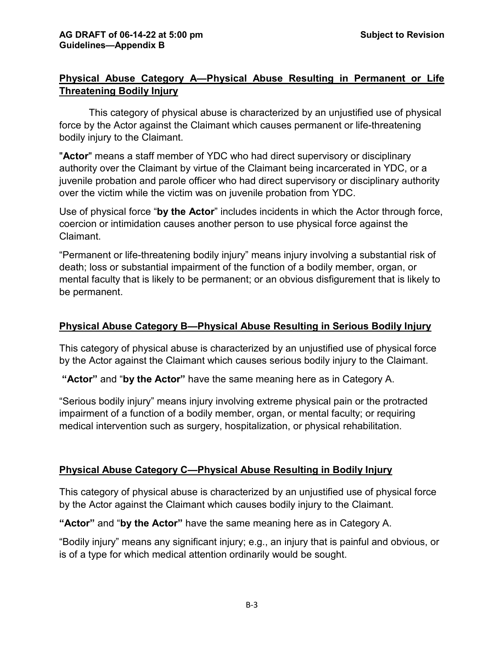# **Physical Abuse Category A—Physical Abuse Resulting in Permanent or Life Threatening Bodily Injury**

This category of physical abuse is characterized by an unjustified use of physical force by the Actor against the Claimant which causes permanent or life-threatening bodily injury to the Claimant.

"**Actor**" means a staff member of YDC who had direct supervisory or disciplinary authority over the Claimant by virtue of the Claimant being incarcerated in YDC, or a juvenile probation and parole officer who had direct supervisory or disciplinary authority over the victim while the victim was on juvenile probation from YDC.

Use of physical force "**by the Actor**" includes incidents in which the Actor through force, coercion or intimidation causes another person to use physical force against the Claimant.

"Permanent or life-threatening bodily injury" means injury involving a substantial risk of death; loss or substantial impairment of the function of a bodily member, organ, or mental faculty that is likely to be permanent; or an obvious disfigurement that is likely to be permanent.

### **Physical Abuse Category B—Physical Abuse Resulting in Serious Bodily Injury**

This category of physical abuse is characterized by an unjustified use of physical force by the Actor against the Claimant which causes serious bodily injury to the Claimant.

**"Actor"** and "**by the Actor"** have the same meaning here as in Category A.

"Serious bodily injury" means injury involving extreme physical pain or the protracted impairment of a function of a bodily member, organ, or mental faculty; or requiring medical intervention such as surgery, hospitalization, or physical rehabilitation.

#### **Physical Abuse Category C—Physical Abuse Resulting in Bodily Injury**

This category of physical abuse is characterized by an unjustified use of physical force by the Actor against the Claimant which causes bodily injury to the Claimant.

**"Actor"** and "**by the Actor"** have the same meaning here as in Category A.

"Bodily injury" means any significant injury; e.g., an injury that is painful and obvious, or is of a type for which medical attention ordinarily would be sought.